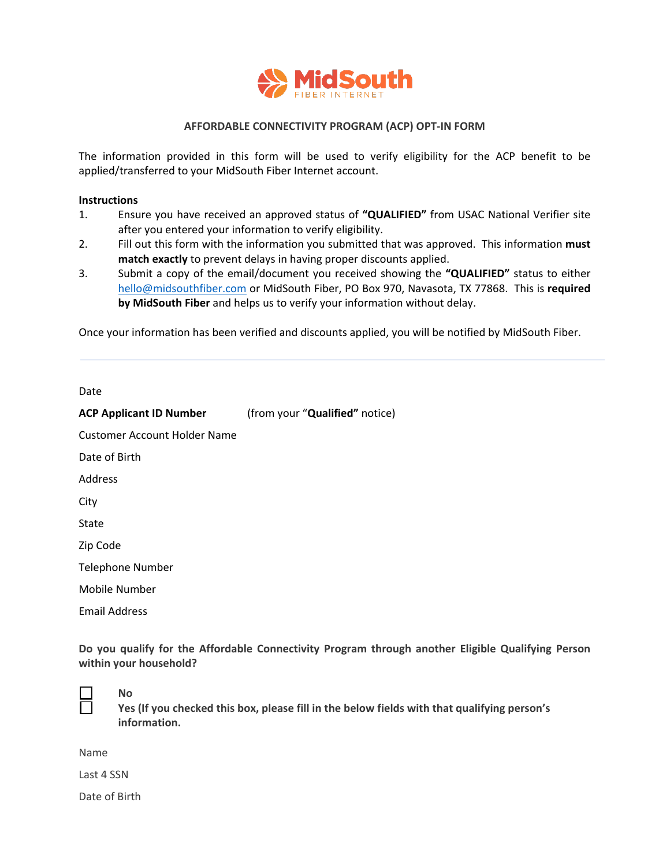

## **AFFORDABLE CONNECTIVITY PROGRAM (ACP) OPT-IN FORM**

The information provided in this form will be used to verify eligibility for the ACP benefit to be applied/transferred to your MidSouth Fiber Internet account.

## **Instructions**

- 1. Ensure you have received an approved status of **"QUALIFIED"** from USAC National Verifier site after you entered your information to verify eligibility.
- 2. Fill out this form with the information you submitted that was approved. This information **must match exactly** to prevent delays in having proper discounts applied.
- 3. Submit a copy of the email/document you received showing the **"QUALIFIED"** status to either [hello@midsouthfiber.com](mailto:hello@midsouthfiber.com) or MidSouth Fiber, PO Box 970, Navasota, TX 77868. This is **required by MidSouth Fiber** and helps us to verify your information without delay.

Once your information has been verified and discounts applied, you will be notified by MidSouth Fiber.

Date

| <b>ACP Applicant ID Number</b> | (from your "Qualified" notice) |
|--------------------------------|--------------------------------|
| Customer Account Holder Name   |                                |
| Date of Birth                  |                                |
| Address                        |                                |
| City                           |                                |
| State                          |                                |
| Zip Code                       |                                |
| <b>Telephone Number</b>        |                                |
| Mobile Number                  |                                |
| <b>Email Address</b>           |                                |

**Do you qualify for the Affordable Connectivity Program through another Eligible Qualifying Person within your household?** 



## **No**

**Yes (If you checked this box, please fill in the below fields with that qualifying person's information.**

Name

Last 4 SSN

Date of Birth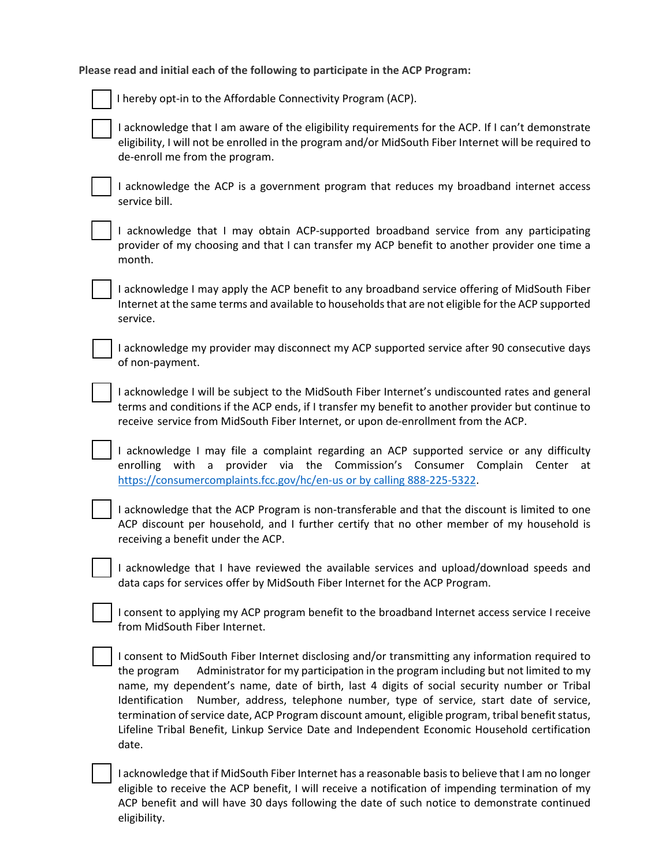**Please read and initial each of the following to participate in the ACP Program:**

I hereby opt-in to the Affordable Connectivity Program (ACP).

I acknowledge that I am aware of the eligibility requirements for the ACP. If I can't demonstrate eligibility, I will not be enrolled in the program and/or MidSouth Fiber Internet will be required to de-enroll me from the program.

I acknowledge the ACP is a government program that reduces my broadband internet access service bill.

I acknowledge that I may obtain ACP-supported broadband service from any participating provider of my choosing and that I can transfer my ACP benefit to another provider one time a month.

I acknowledge I may apply the ACP benefit to any broadband service offering of MidSouth Fiber Internet at the same terms and available to households that are not eligible for the ACP supported service.

I acknowledge my provider may disconnect my ACP supported service after 90 consecutive days of non-payment.

I acknowledge I will be subject to the MidSouth Fiber Internet's undiscounted rates and general terms and conditions if the ACP ends, if I transfer my benefit to another provider but continue to receive service from MidSouth Fiber Internet, or upon de-enrollment from the ACP.

I acknowledge I may file a complaint regarding an ACP supported service or any difficulty enrolling with a provider via the Commission's Consumer Complain Center at [https://consumercomplaints.fcc.gov/hc/en-us or by calling 888-225-5322.](https://consumercomplaints.fcc.gov/hc/en-us%20or%20by%20calling%20888-225-5322) 

I acknowledge that the ACP Program is non-transferable and that the discount is limited to one ACP discount per household, and I further certify that no other member of my household is receiving a benefit under the ACP.

I acknowledge that I have reviewed the available services and upload/download speeds and data caps for services offer by MidSouth Fiber Internet for the ACP Program.

I consent to applying my ACP program benefit to the broadband Internet access service I receive from MidSouth Fiber Internet.

I consent to MidSouth Fiber Internet disclosing and/or transmitting any information required to the program Administrator for my participation in the program including but not limited to my name, my dependent's name, date of birth, last 4 digits of social security number or Tribal Identification Number, address, telephone number, type of service, start date of service, termination of service date, ACP Program discount amount, eligible program, tribal benefit status, Lifeline Tribal Benefit, Linkup Service Date and Independent Economic Household certification date.

I acknowledge that if MidSouth Fiber Internet has a reasonable basis to believe that I am no longer eligible to receive the ACP benefit, I will receive a notification of impending termination of my ACP benefit and will have 30 days following the date of such notice to demonstrate continued eligibility.